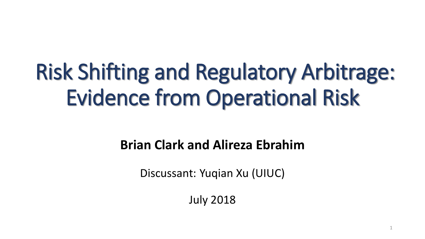# Risk Shifting and Regulatory Arbitrage: Evidence from Operational Risk

#### **Brian Clark and Alireza Ebrahim**

Discussant: Yuqian Xu (UIUC)

July 2018

1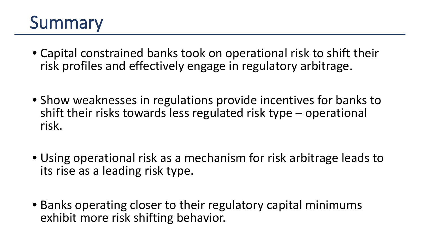### Summary

- Capital constrained banks took on operational risk to shift their risk profiles and effectively engage in regulatory arbitrage.
- Show weaknesses in regulations provide incentives for banks to shift their risks towards less regulated risk type – operational risk.
- Using operational risk as a mechanism for risk arbitrage leads to its rise as a leading risk type.
- Banks operating closer to their regulatory capital minimums exhibit more risk shifting behavior.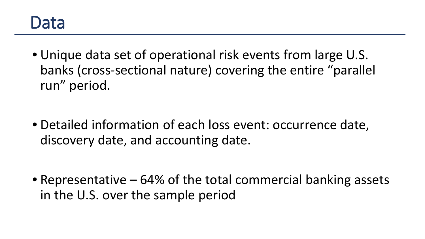#### Data

• Unique data set of operational risk events from large U.S. banks (cross-sectional nature) covering the entire "parallel run" period.

• Detailed information of each loss event: occurrence date, discovery date, and accounting date.

• Representative – 64% of the total commercial banking assets in the U.S. over the sample period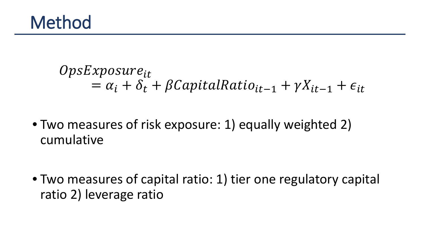$OpsExposure_{it}$  $= \alpha_i + \delta_t + \beta CapitalRatio_{it-1} + \gamma X_{it-1} + \epsilon_{it}$ 

• Two measures of risk exposure: 1) equally weighted 2) cumulative

• Two measures of capital ratio: 1) tier one regulatory capital ratio 2) leverage ratio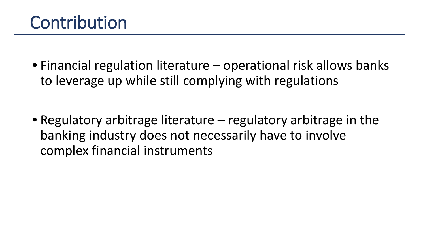• Financial regulation literature – operational risk allows banks to leverage up while still complying with regulations

• Regulatory arbitrage literature – regulatory arbitrage in the banking industry does not necessarily have to involve complex financial instruments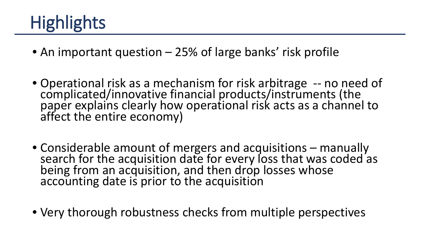## **Highlights**

- An important question 25% of large banks' risk profile
- Operational risk as a mechanism for risk arbitrage -- no need of complicated/innovative financial products/instruments (the paper explains clearly how operational risk acts as a channel to affect the entire economy)
- Considerable amount of mergers and acquisitions manually search for the acquisition date for every loss that was coded as being from an acquisition, and then drop losses whose accounting date is prior to the acquisition
- Very thorough robustness checks from multiple perspectives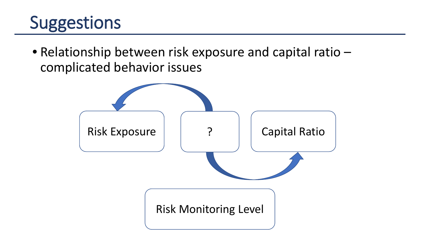### **Suggestions**

• Relationship between risk exposure and capital ratio – complicated behavior issues

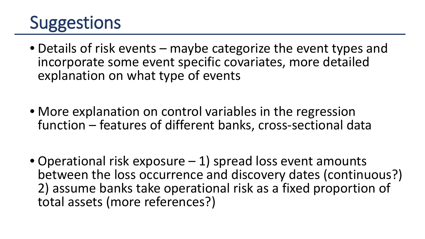### **Suggestions**

- Details of risk events maybe categorize the event types and incorporate some event specific covariates, more detailed explanation on what type of events
- More explanation on control variables in the regression function – features of different banks, cross-sectional data
- Operational risk exposure 1) spread loss event amounts between the loss occurrence and discovery dates (continuous?) 2) assume banks take operational risk as a fixed proportion of total assets (more references?)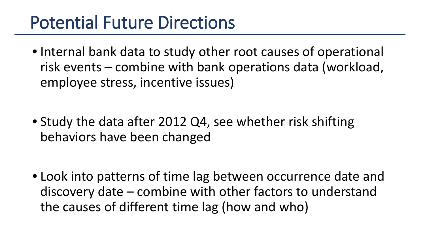### Potential Future Directions

• Internal bank data to study other root causes of operational risk events – combine with bank operations data (workload, employee stress, incentive issues)

• Study the data after 2012 Q4, see whether risk shifting behaviors have been changed

• Look into patterns of time lag between occurrence date and discovery date – combine with other factors to understand the causes of different time lag (how and who)